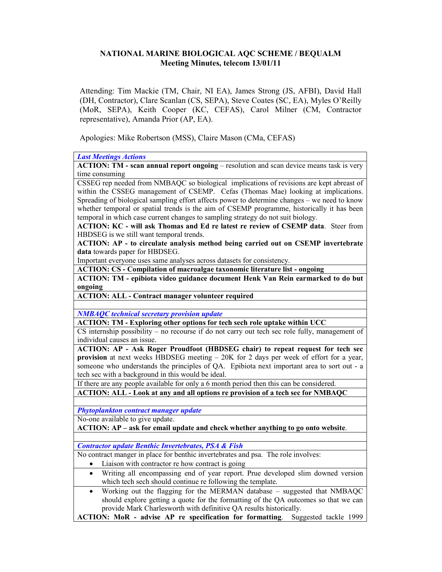## NATIONAL MARINE BIOLOGICAL AQC SCHEME / BEQUALM Meeting Minutes, telecom 13/01/11

Attending: Tim Mackie (TM, Chair, NI EA), James Strong (JS, AFBI), David Hall (DH, Contractor), Clare Scanlan (CS, SEPA), Steve Coates (SC, EA), Myles O'Reilly (MoR, SEPA), Keith Cooper (KC, CEFAS), Carol Milner (CM, Contractor representative), Amanda Prior (AP, EA).

Apologies: Mike Robertson (MSS), Claire Mason (CMa, CEFAS)

Last Meetings Actions

ACTION: TM - scan annual report ongoing – resolution and scan device means task is very time consuming

CSSEG rep needed from NMBAQC so biological implications of revisions are kept abreast of within the CSSEG management of CSEMP. Cefas (Thomas Mae) looking at implications. Spreading of biological sampling effort affects power to determine changes – we need to know whether temporal or spatial trends is the aim of CSEMP programme, historically it has been temporal in which case current changes to sampling strategy do not suit biology.

ACTION: KC - will ask Thomas and Ed re latest re review of CSEMP data. Steer from HBDSEG is we still want temporal trends.

ACTION: AP - to circulate analysis method being carried out on CSEMP invertebrate data towards paper for HBDSEG.

Important everyone uses same analyses across datasets for consistency.

ACTION: CS - Compilation of macroalgae taxonomic literature list - ongoing

ACTION: TM - epibiota video guidance document Henk Van Rein earmarked to do but ongoing

ACTION: ALL - Contract manager volunteer required

NMBAQC technical secretary provision update

ACTION: TM - Exploring other options for tech sech role uptake within UCC

CS internship possibility – no recourse if do not carry out tech sec role fully, management of individual causes an issue.

ACTION: AP - Ask Roger Proudfoot (HBDSEG chair) to repeat request for tech sec provision at next weeks HBDSEG meeting – 20K for 2 days per week of effort for a year, someone who understands the principles of QA. Epibiota next important area to sort out - a tech sec with a background in this would be ideal.

If there are any people available for only a 6 month period then this can be considered.

ACTION: ALL - Look at any and all options re provision of a tech sec for NMBAQC

Phytoplankton contract manager update

No-one available to give update.

ACTION: AP – ask for email update and check whether anything to go onto website.

Contractor update Benthic Invertebrates, PSA & Fish

No contract manger in place for benthic invertebrates and psa. The role involves:

- Liaison with contractor re how contract is going
- Writing all encompassing end of year report. Prue developed slim downed version which tech sech should continue re following the template.

• Working out the flagging for the MERMAN database – suggested that NMBAQC should explore getting a quote for the formatting of the QA outcomes so that we can provide Mark Charlesworth with definitive QA results historically.

ACTION: MoR - advise AP re specification for formatting. Suggested tackle 1999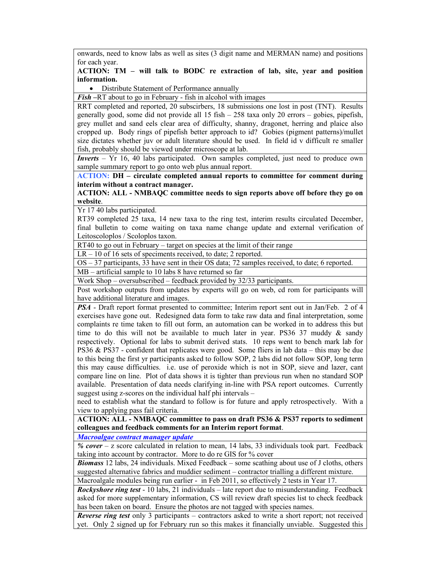onwards, need to know labs as well as sites (3 digit name and MERMAN name) and positions for each year.

## ACTION: TM – will talk to BODC re extraction of lab, site, year and position information.

• Distribute Statement of Performance annually

Fish –RT about to go in February - fish in alcohol with images

RRT completed and reported, 20 subscirbers, 18 submissions one lost in post (TNT). Results generally good, some did not provide all 15 fish – 258 taxa only 20 errors – gobies, pipefish, grey mullet and sand eels clear area of difficulty, shanny, dragonet, herring and plaice also cropped up. Body rings of pipefish better approach to id? Gobies (pigment patterns)/mullet size dictates whether juv or adult literature should be used. In field id v difficult re smaller fish, probably should be viewed under microscope at lab.

Inverts – Yr 16, 40 labs participated. Own samples completed, just need to produce own sample summary report to go onto web plus annual report.

ACTION: DH – circulate completed annual reports to committee for comment during interim without a contract manager.

## ACTION: ALL - NMBAQC committee needs to sign reports above off before they go on website.

Yr 17 40 labs participated.

RT39 completed 25 taxa, 14 new taxa to the ring test, interim results circulated December, final bulletin to come waiting on taxa name change update and external verification of Leitoscoloplos / Scoloplos taxon.

RT40 to go out in February – target on species at the limit of their range

LR – 10 of 16 sets of speciments received, to date; 2 reported.

OS – 37 participants, 33 have sent in their OS data; 72 samples received, to date; 6 reported. MB – artificial sample to 10 labs 8 have returned so far

Work Shop – oversubscribed – feedback provided by 32/33 participants.

Post workshop outputs from updates by experts will go on web, cd rom for participants will have additional literature and images.

PSA - Draft report format presented to committee; Interim report sent out in Jan/Feb. 2 of 4 exercises have gone out. Redesigned data form to take raw data and final interpretation, some complaints re time taken to fill out form, an automation can be worked in to address this but time to do this will not be available to much later in year. PS36 37 muddy  $\&$  sandy respectively. Optional for labs to submit derived stats. 10 reps went to bench mark lab for PS36 & PS37 - confident that replicates were good. Some fliers in lab data – this may be due to this being the first yr participants asked to follow SOP, 2 labs did not follow SOP, long term this may cause difficulties. i.e. use of peroxide which is not in SOP, sieve and lazer, cant compare line on line. Plot of data shows it is tighter than previous run when no standard SOP available. Presentation of data needs clarifying in-line with PSA report outcomes. Currently suggest using z-scores on the individual half phi intervals –

need to establish what the standard to follow is for future and apply retrospectively. With a view to applying pass fail criteria.

ACTION: ALL - NMBAQC committee to pass on draft PS36 & PS37 reports to sediment colleagues and feedback comments for an Interim report format.

Macroalgae contract manager update

%  $cover - z$  score calculated in relation to mean, 14 labs, 33 individuals took part. Feedback taking into account by contractor. More to do re GIS for % cover

Biomass 12 labs, 24 individuals. Mixed Feedback – some scathing about use of J cloths, others suggested alternative fabrics and muddier sediment – contractor trialling a different mixture. Macroalgale modules being run earlier - in Feb 2011, so effectively 2 tests in Year 17.

**Rockyshore ring test -** 10 labs, 21 individuals – late report due to misunderstanding. Feedback asked for more supplementary information, CS will review draft species list to check feedback has been taken on board. Ensure the photos are not tagged with species names.

**Reverse ring test** only 3 participants – contractors asked to write a short report; not received yet. Only 2 signed up for February run so this makes it financially unviable. Suggested this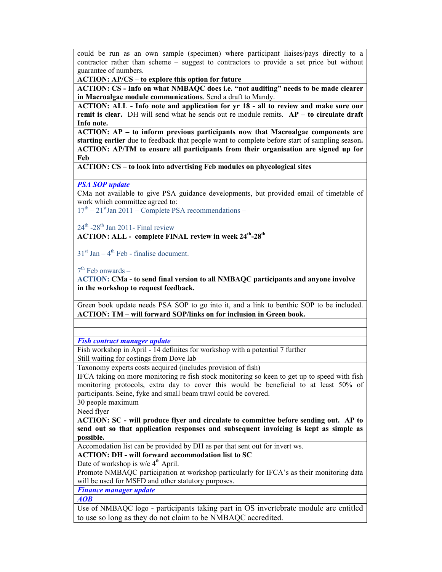could be run as an own sample (specimen) where participant liaises/pays directly to a contractor rather than scheme – suggest to contractors to provide a set price but without guarantee of numbers.

ACTION: AP/CS – to explore this option for future

ACTION: CS - Info on what NMBAQC does i.e. "not auditing" needs to be made clearer in Macroalgae module communications. Send a draft to Mandy.

ACTION: ALL - Info note and application for yr 18 - all to review and make sure our remit is clear. DH will send what he sends out re module remits.  $AP -$  to circulate draft Info note.

ACTION: AP – to inform previous participants now that Macroalgae components are starting earlier due to feedback that people want to complete before start of sampling season. ACTION: AP/TM to ensure all participants from their organisation are signed up for Feb

ACTION: CS – to look into advertising Feb modules on phycological sites

PSA SOP update

CMa not available to give PSA guidance developments, but provided email of timetable of work which committee agreed to:

 $17<sup>th</sup> - 21<sup>st</sup>$  Jan 2011 – Complete PSA recommendations –

 $24<sup>th</sup>$  -28<sup>th</sup> Jan 2011- Final review

ACTION: ALL - complete FINAL review in week 24<sup>th</sup>-28<sup>th</sup>

 $31<sup>st</sup>$  Jan – 4<sup>th</sup> Feb - finalise document.

 $7<sup>th</sup>$  Feb onwards –

ACTION: CMa - to send final version to all NMBAQC participants and anyone involve in the workshop to request feedback.

Green book update needs PSA SOP to go into it, and a link to benthic SOP to be included. ACTION: TM – will forward SOP/links on for inclusion in Green book.

Fish contract manager update

Fish workshop in April - 14 definites for workshop with a potential 7 further Still waiting for costings from Dove lab

Taxonomy experts costs acquired (includes provision of fish)

IFCA taking on more monitoring re fish stock monitoring so keen to get up to speed with fish monitoring protocols, extra day to cover this would be beneficial to at least 50% of participants. Seine, fyke and small beam trawl could be covered.

30 people maximum

Need flyer

ACTION: SC - will produce flyer and circulate to committee before sending out. AP to send out so that application responses and subsequent invoicing is kept as simple as possible.

Accomodation list can be provided by DH as per that sent out for invert ws.

ACTION: DH - will forward accommodation list to SC

Date of workshop is  $w/c$  4<sup>th</sup> April.

Promote NMBAQC participation at workshop particularly for IFCA's as their monitoring data will be used for MSFD and other statutory purposes.

Finance manager update

AOB

Use of NMBAQC logo - participants taking part in OS invertebrate module are entitled to use so long as they do not claim to be NMBAQC accredited.